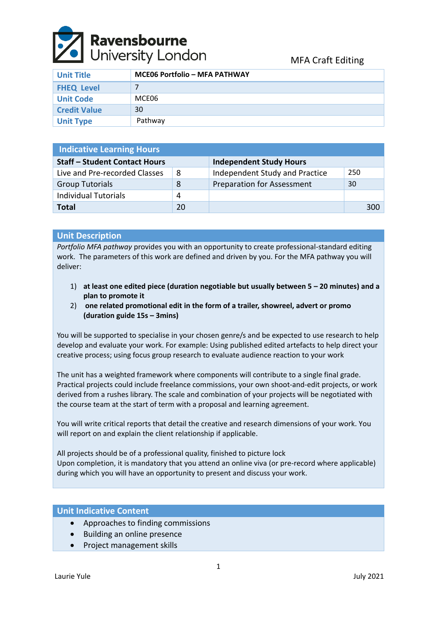

| <b>Unit Title</b>   | <b>MCE06 Portfolio - MFA PATHWAY</b> |
|---------------------|--------------------------------------|
| <b>FHEQ Level</b>   |                                      |
| <b>Unit Code</b>    | MCE06                                |
| <b>Credit Value</b> | 30                                   |
| <b>Unit Type</b>    | Pathway                              |

| <b>Indicative Learning Hours</b>     |    |                                   |     |  |  |
|--------------------------------------|----|-----------------------------------|-----|--|--|
| <b>Staff - Student Contact Hours</b> |    | <b>Independent Study Hours</b>    |     |  |  |
| Live and Pre-recorded Classes        | 8  | Independent Study and Practice    | 250 |  |  |
| <b>Group Tutorials</b>               | 8  | <b>Preparation for Assessment</b> | 30  |  |  |
| <b>Individual Tutorials</b>          | 4  |                                   |     |  |  |
| <b>Total</b>                         | 20 |                                   | 300 |  |  |

# **Unit Description**

*Portfolio MFA pathway* provides you with an opportunity to create professional-standard editing work. The parameters of this work are defined and driven by you. For the MFA pathway you will deliver:

- 1) **at least one edited piece (duration negotiable but usually between 5 – 20 minutes) and a plan to promote it**
- 2) **one related promotional edit in the form of a trailer, showreel, advert or promo (duration guide 15s – 3mins)**

You will be supported to specialise in your chosen genre/s and be expected to use research to help develop and evaluate your work. For example: Using published edited artefacts to help direct your creative process; using focus group research to evaluate audience reaction to your work

The unit has a weighted framework where components will contribute to a single final grade. Practical projects could include freelance commissions, your own shoot-and-edit projects, or work derived from a rushes library. The scale and combination of your projects will be negotiated with the course team at the start of term with a proposal and learning agreement.

You will write critical reports that detail the creative and research dimensions of your work. You will report on and explain the client relationship if applicable.

All projects should be of a professional quality, finished to picture lock Upon completion, it is mandatory that you attend an online viva (or pre-record where applicable) during which you will have an opportunity to present and discuss your work.

## **Unit Indicative Content**

- Approaches to finding commissions
- Building an online presence
- Project management skills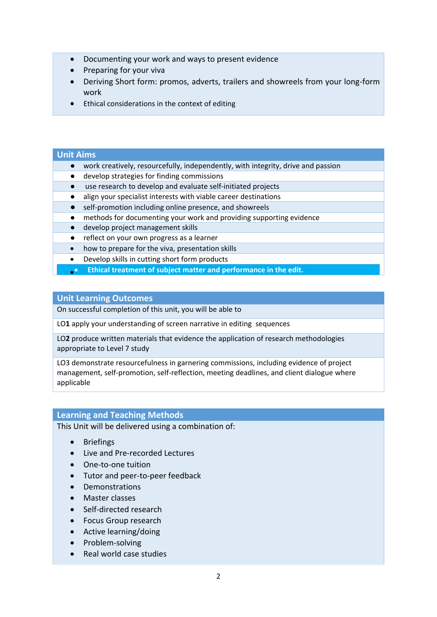- Documenting your work and ways to present evidence
- Preparing for your viva
- Deriving Short form: promos, adverts, trailers and showreels from your long-form work
- Ethical considerations in the context of editing

#### **Unit Aims**

- work creatively, resourcefully, independently, with integrity, drive and passion
- develop strategies for finding commissions
- use research to develop and evaluate self-initiated projects
- align your specialist interests with viable career destinations
- self-promotion including online presence, and showreels
- methods for documenting your work and providing supporting evidence
- develop project management skills
- reflect on your own progress as a learner
- how to prepare for the viva, presentation skills
- Develop skills in cutting short form products
- **Ethical treatment of subject matter and performance in the edit.** •

#### **Unit Learning Outcomes**

On successful completion of this unit, you will be able to

LO**1** apply your understanding of screen narrative in editing sequences

LO**2** produce written materials that evidence the application of research methodologies appropriate to Level 7 study

LO3 demonstrate resourcefulness in garnering commissions, including evidence of project management, self-promotion, self-reflection, meeting deadlines, and client dialogue where applicable

### **Learning and Teaching Methods**

This Unit will be delivered using a combination of:

- Briefings
- Live and Pre-recorded Lectures
- One-to-one tuition
- Tutor and peer-to-peer feedback
- Demonstrations
- Master classes
- Self-directed research
- Focus Group research
- Active learning/doing
- Problem-solving
- Real world case studies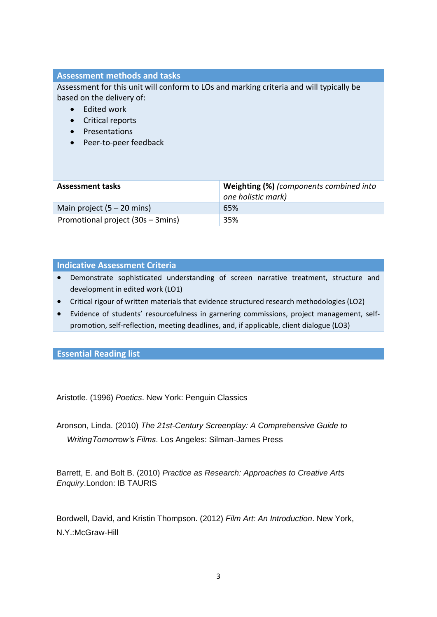# **Assessment methods and tasks**

Assessment for this unit will conform to LOs and marking criteria and will typically be based on the delivery of:

- Edited work
- Critical reports
- Presentations
- Peer-to-peer feedback

| <b>Assessment tasks</b>           | <b>Weighting (%)</b> (components combined into<br>one holistic mark) |
|-----------------------------------|----------------------------------------------------------------------|
| Main project $(5 - 20$ mins)      | 65%                                                                  |
| Promotional project (30s – 3mins) | 35%                                                                  |

### **Indicative Assessment Criteria**

- Demonstrate sophisticated understanding of screen narrative treatment, structure and development in edited work (LO1)
- Critical rigour of written materials that evidence structured research methodologies (LO2)
- Evidence of students' resourcefulness in garnering commissions, project management, selfpromotion, self-reflection, meeting deadlines, and, if applicable, client dialogue (LO3)

### **Essential Reading list**

Aristotle. (1996) *Poetics*. New York: Penguin Classics

Aronson, Linda. (2010) *The 21st-Century Screenplay: A Comprehensive Guide to WritingTomorrow's Films*. Los Angeles: Silman-James Press

Barrett, E. and Bolt B. (2010) *Practice as Research: Approaches to Creative Arts Enquiry*.London: IB TAURIS

Bordwell, David, and Kristin Thompson. (2012) *Film Art: An Introduction*. New York, N.Y.:McGraw-Hill